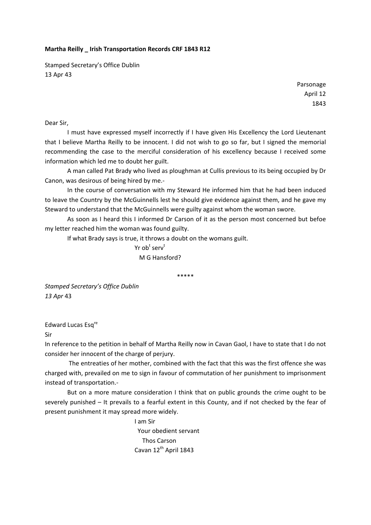## **Martha Reilly \_ Irish Transportation Records CRF 1843 R12**

Stamped Secretary's Office Dublin 13 Apr 43

> Parsonage April 12 1843

Dear Sir,

I must have expressed myself incorrectly if I have given His Excellency the Lord Lieutenant that I believe Martha Reilly to be innocent. I did not wish to go so far, but I signed the memorial recommending the case to the merciful consideration of his excellency because I received some information which led me to doubt her guilt.

A man called Pat Brady who lived as ploughman at Cullis previous to its being occupied by Dr Canon, was desirous of being hired by me.‐

In the course of conversation with my Steward He informed him that he had been induced to leave the Country by the McGuinnells lest he should give evidence against them, and he gave my Steward to understand that the McGuinnells were guilty against whom the woman swore.

As soon as I heard this I informed Dr Carson of it as the person most concerned but befoe my letter reached him the woman was found guilty.

If what Brady says is true, it throws a doubt on the womans guilt.

er and the Service of the Service of the Service of the Service of the Service of the Service of the Service o

M G Hansford?

\*\*\*\*\*

*Stamped Secretary's Office Dublin 13 Apr* 43

Edward Lucas Esq<sup>re</sup>

Sir

In reference to the petition in behalf of Martha Reilly now in Cavan Gaol, I have to state that I do not consider her innocent of the charge of perjury.

 The entreaties of her mother, combined with the fact that this was the first offence she was charged with, prevailed on me to sign in favour of commutation of her punishment to imprisonment instead of transportation.‐

But on a more mature consideration I think that on public grounds the crime ought to be severely punished – It prevails to a fearful extent in this County, and if not checked by the fear of present punishment it may spread more widely.

> I am Sir Your obedient servant Thos Carson Cavan 12<sup>th</sup> April 1843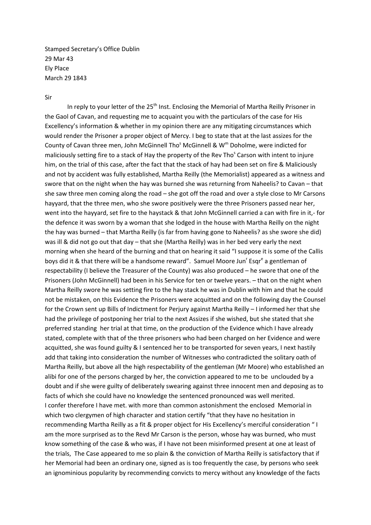Stamped Secretary's Office Dublin 29 Mar 43 Ely Place March 29 1843

## Sir

In reply to your letter of the  $25<sup>th</sup>$  Inst. Enclosing the Memorial of Martha Reilly Prisoner in the Gaol of Cavan, and requesting me to acquaint you with the particulars of the case for His Excellency's information & whether in my opinion there are any mitigating circumstances which would render the Prisoner a proper object of Mercy. I beg to state that at the last assizes for the County of Cavan three men, John McGinnell Tho<sup>s</sup> McGinnell & W<sup>m</sup> Doholme, were indicted for maliciously setting fire to a stack of Hay the property of the Rev Tho<sup>s</sup> Carson with intent to injure him, on the trial of this case, after the fact that the stack of hay had been set on fire & Maliciously and not by accident was fully established, Martha Reilly (the Memorialist) appeared as a witness and swore that on the night when the hay was burned she was returning from Naheelis? to Cavan – that she saw three men coming along the road – she got off the road and over a style close to Mr Carsons hayyard, that the three men, who she swore positively were the three Prisoners passed near her, went into the hayyard, set fire to the haystack & that John McGinnell carried a can with fire in it,- for the defence it was sworn by a woman that she lodged in the house with Martha Reilly on the night the hay was burned – that Martha Reilly (is far from having gone to Naheelis? as she swore she did) was ill & did not go out that day – that she (Martha Reilly) was in her bed very early the next morning when she heard of the burning and that on hearing it said "I suppose it is some of the Callis boys did it & that there will be a handsome reward". Samuel Moore Jun<sup>r</sup> Esqr<sup>e</sup> a gentleman of respectability (I believe the Treasurer of the County) was also produced – he swore that one of the Prisoners (John McGinnell) had been in his Service for ten or twelve years. – that on the night when Martha Reilly swore he was setting fire to the hay stack he was in Dublin with him and that he could not be mistaken, on this Evidence the Prisoners were acquitted and on the following day the Counsel for the Crown sent up Bills of Indictment for Perjury against Martha Reilly – I informed her that she had the privilege of postponing her trial to the next Assizes if she wished, but she stated that she preferred standing her trial at that time, on the production of the Evidence which I have already stated, complete with that of the three prisoners who had been charged on her Evidence and were acquitted, she was found guilty & I sentenced her to be transported for seven years, I next hastily add that taking into consideration the number of Witnesses who contradicted the solitary oath of Martha Reilly, but above all the high respectability of the gentleman (Mr Moore) who established an alibi for one of the persons charged by her, the conviction appeared to me to be unclouded by a doubt and if she were guilty of deliberately swearing against three innocent men and deposing as to facts of which she could have no knowledge the sentenced pronounced was well merited. I confer therefore I have met. with more than common astonishment the enclosed Memorial in which two clergymen of high character and station certify "that they have no hesitation in recommending Martha Reilly as a fit & proper object for His Excellency's merciful consideration " I am the more surprised as to the Revd Mr Carson is the person, whose hay was burned, who must know something of the case & who was, if I have not been misinformed present at one at least of the trials, The Case appeared to me so plain & the conviction of Martha Reilly is satisfactory that if her Memorial had been an ordinary one, signed as is too frequently the case, by persons who seek an ignominious popularity by recommending convicts to mercy without any knowledge of the facts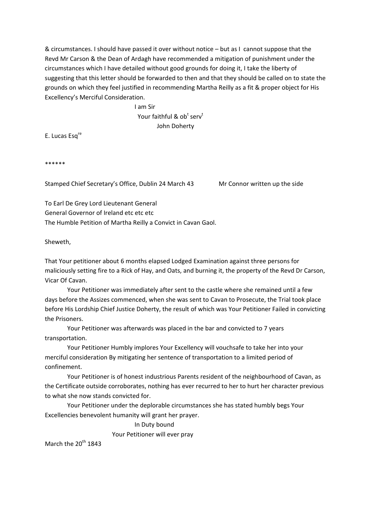& circumstances. I should have passed it over without notice – but as I cannot suppose that the Revd Mr Carson & the Dean of Ardagh have recommended a mitigation of punishment under the circumstances which I have detailed without good grounds for doing it, I take the liberty of suggesting that this letter should be forwarded to then and that they should be called on to state the grounds on which they feel justified in recommending Martha Reilly as a fit & proper object for His Excellency's Merciful Consideration.

 I am Sir Your faithful & ob<sup>t</sup> serv<sup>t</sup> John Doherty

E. Lucas Esq<sup>re</sup>

\*\*\*\*\*\*

Stamped Chief Secretary's Office, Dublin 24 March 43 Mr Connor written up the side

To Earl De Grey Lord Lieutenant General General Governor of Ireland etc etc etc The Humble Petition of Martha Reilly a Convict in Cavan Gaol.

Sheweth,

That Your petitioner about 6 months elapsed Lodged Examination against three persons for maliciously setting fire to a Rick of Hay, and Oats, and burning it, the property of the Revd Dr Carson, Vicar Of Cavan.

Your Petitioner was immediately after sent to the castle where she remained until a few days before the Assizes commenced, when she was sent to Cavan to Prosecute, the Trial took place before His Lordship Chief Justice Doherty, the result of which was Your Petitioner Failed in convicting the Prisoners.

Your Petitioner was afterwards was placed in the bar and convicted to 7 years transportation.

Your Petitioner Humbly implores Your Excellency will vouchsafe to take her into your merciful consideration By mitigating her sentence of transportation to a limited period of confinement.

Your Petitioner is of honest industrious Parents resident of the neighbourhood of Cavan, as the Certificate outside corroborates, nothing has ever recurred to her to hurt her character previous to what she now stands convicted for.

Your Petitioner under the deplorable circumstances she has stated humbly begs Your Excellencies benevolent humanity will grant her prayer.

In Duty bound

Your Petitioner will ever pray

March the  $20^{th}$  1843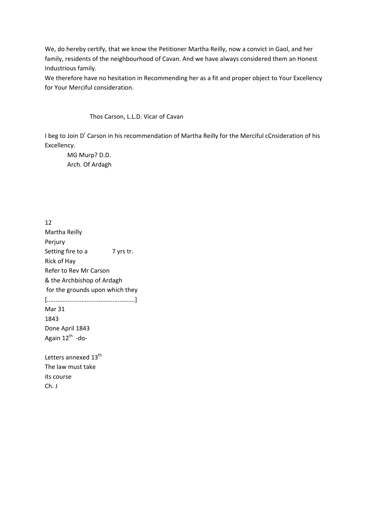We, do hereby certify, that we know the Petitioner Martha Reilly, now a convict in Gaol, and her family, residents of the neighbourhood of Cavan. And we have always considered them an Honest Industrious family.

We therefore have no hesitation in Recommending her as a fit and proper object to Your Excellency for Your Merciful consideration.

Thos Carson, L.L.D. Vicar of Cavan

I beg to Join D<sup>r</sup> Carson in his recommendation of Martha Reilly for the Merciful cCnsideration of his Excellency.

MG Murp? D.D. Arch. Of Ardagh

12 Martha Reilly Perjury Setting fire to a 7 yrs tr. Rick of Hay Refer to Rev Mr Carson & the Archbishop of Ardagh for the grounds upon which they [...................................................] Mar 31 1843 Done April 1843 Again  $12^{th}$  -do-Letters annexed 13<sup>th</sup> The law must take its course

Ch. J